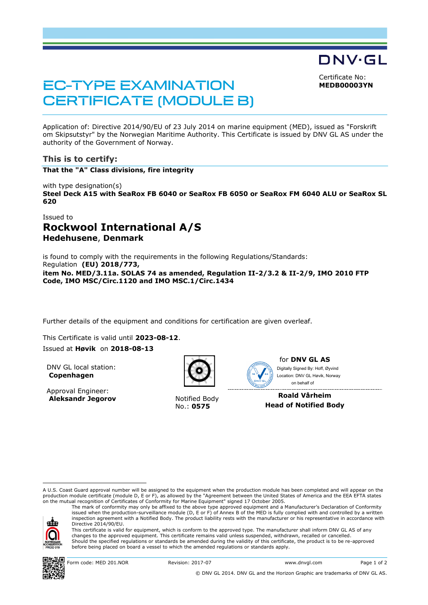DNV·GL

Certificate No: **MEDB00003YN**

# **EC-TYPE EXAMINATION CERTIFICATE (MODULE B)**

Application of: Directive 2014/90/EU of 23 July 2014 on marine equipment (MED), issued as "Forskrift om Skipsutstyr" by the Norwegian Maritime Authority. This Certificate is issued by DNV GL AS under the authority of the Government of Norway.

# **This is to certify:**

**That the "A" Class divisions, fire integrity**

with type designation(s)

**Steel Deck A15 with SeaRox FB 6040 or SeaRox FB 6050 or SeaRox FM 6040 ALU or SeaRox SL 620**

## Issued to

# **Rockwool International A/S Hedehusene**, **Denmark**

is found to comply with the requirements in the following Regulations/Standards: Regulation **(EU) 2018/773, item No. MED/3.11a. SOLAS 74 as amended, Regulation II-2/3.2 & II-2/9, IMO 2010 FTP Code, IMO MSC/Circ.1120 and IMO MSC.1/Circ.1434**

Further details of the equipment and conditions for certification are given overleaf.

This Certificate is valid until **2023-08-12**.

### Issued at **Høvik** on **2018-08-13**

DNV GL local station: **Copenhagen**

Approval Engineer: **Aleksandr Jegorov** Notified Body



No.: **0575**



for **DNV GL AS** on behalf ofDigitally Signed By: Hoff, Øyvind Location: DNV GL Høvik, Norway

**Roald Vårheim Head of Notified Body**

A U.S. Coast Guard approval number will be assigned to the equipment when the production module has been completed and will appear on the production module certificate (module D, E or F), as allowed by the "Agreement between the United States of America and the EEA EFTA states on the mutual recognition of Certificates of Conformity for Marine Equipment" signed 17 October 2005.

atz

i<br>I

Directive 2014/90/EU. This certificate is valid for equipment, which is conform to the approved type. The manufacturer shall inform DNV GL AS of any changes to the approved equipment. This certificate remains valid unless suspended, withdrawn, recalled or cancelled. Should the specified regulations or standards be amended during the validity of this certificate, the product is to be re-approved before being placed on board a vessel to which the amended regulations or standards apply.

The mark of conformity may only be affixed to the above type approved equipment and a Manufacturer's Declaration of Conformity<br>issued when the production-surveillance module (D, E or F) of Annex B of the MED is fully compl inspection agreement with a Notified Body. The product liability rests with the manufacturer or his representative in accordance with



© DNV GL 2014. DNV GL and the Horizon Graphic are trademarks of DNV GL AS.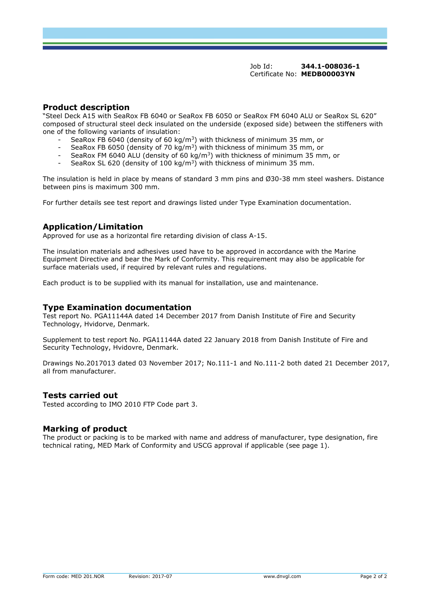Job Id: **344.1-008036-1** Certificate No: **MEDB00003YN**

# **Product description**

"Steel Deck A15 with SeaRox FB 6040 or SeaRox FB 6050 or SeaRox FM 6040 ALU or SeaRox SL 620" composed of structural steel deck insulated on the underside (exposed side) between the stiffeners with one of the following variants of insulation:

- SeaRox FB 6040 (density of 60 kg/m<sup>3</sup>) with thickness of minimum 35 mm, or
- SeaRox FB 6050 (density of 70 kg/m<sup>3</sup>) with thickness of minimum 35 mm, or
- SeaRox FM 6040 ALU (density of 60 kg/m<sup>3</sup>) with thickness of minimum 35 mm, or
- SeaRox SL 620 (density of 100 kg/m<sup>3</sup>) with thickness of minimum 35 mm.

The insulation is held in place by means of standard 3 mm pins and Ø30-38 mm steel washers. Distance between pins is maximum 300 mm.

For further details see test report and drawings listed under Type Examination documentation.

# **Application/Limitation**

Approved for use as a horizontal fire retarding division of class A-15.

The insulation materials and adhesives used have to be approved in accordance with the Marine Equipment Directive and bear the Mark of Conformity. This requirement may also be applicable for surface materials used, if required by relevant rules and regulations.

Each product is to be supplied with its manual for installation, use and maintenance.

### **Type Examination documentation**

Test report No. PGA11144A dated 14 December 2017 from Danish Institute of Fire and Security Technology, Hvidorve, Denmark.

Supplement to test report No. PGA11144A dated 22 January 2018 from Danish Institute of Fire and Security Technology, Hvidovre, Denmark.

Drawings No.2017013 dated 03 November 2017; No.111-1 and No.111-2 both dated 21 December 2017, all from manufacturer.

### **Tests carried out**

Tested according to IMO 2010 FTP Code part 3.

### **Marking of product**

The product or packing is to be marked with name and address of manufacturer, type designation, fire technical rating, MED Mark of Conformity and USCG approval if applicable (see page 1).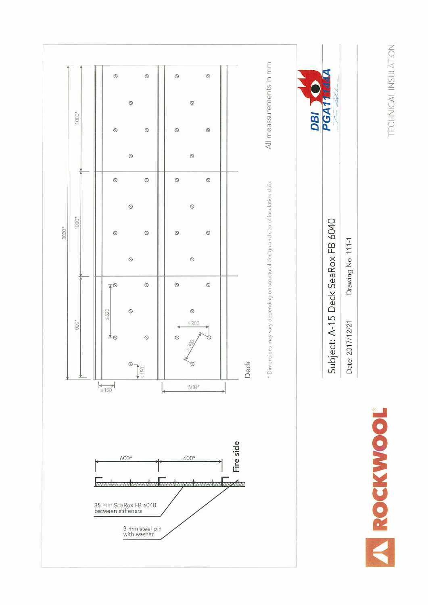